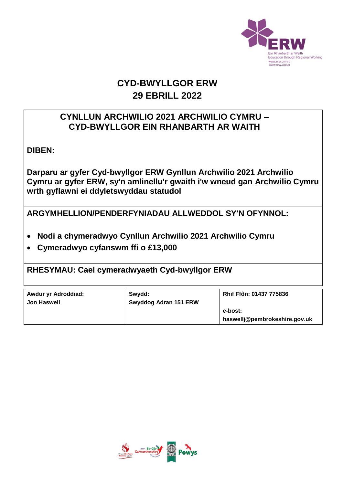

# **CYD-BWYLLGOR ERW 29 EBRILL 2022**

### **CYNLLUN ARCHWILIO 2021 ARCHWILIO CYMRU – CYD-BWYLLGOR EIN RHANBARTH AR WAITH**

**DIBEN:** 

**Darparu ar gyfer Cyd-bwyllgor ERW Gynllun Archwilio 2021 Archwilio Cymru ar gyfer ERW, sy'n amlinellu'r gwaith i'w wneud gan Archwilio Cymru wrth gyflawni ei ddyletswyddau statudol**

**ARGYMHELLION/PENDERFYNIADAU ALLWEDDOL SY'N OFYNNOL:**

- **Nodi a chymeradwyo Cynllun Archwilio 2021 Archwilio Cymru**
- **Cymeradwyo cyfanswm ffi o £13,000**

**RHESYMAU: Cael cymeradwyaeth Cyd-bwyllgor ERW**

| Awdur yr Adroddiad:<br>Jon Haswell | Swydd:<br>Swyddog Adran 151 ERW | Rhif Ffôn: 01437 775836                  |
|------------------------------------|---------------------------------|------------------------------------------|
|                                    |                                 | e-bost:<br>haswellj@pembrokeshire.gov.uk |